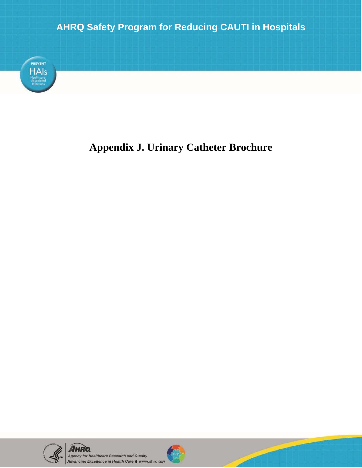

## **Appendix J. Urinary Catheter Brochure**



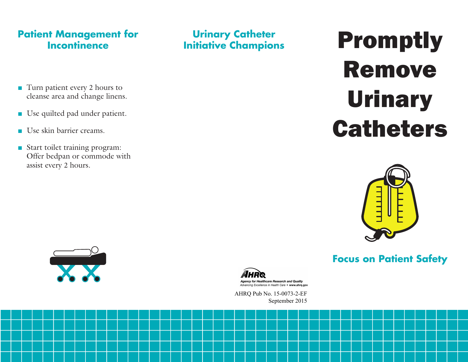#### **Patient Management for Incontinence**

**Urinary Catheter Initiative Champions**

- Turn patient every 2 hours to cleanse area and change linens.
- Use quilted pad under patient.
- Use skin barrier creams.
- Start toilet training program: Offer bedpan or commode with assist every 2 hours.

# Promptly Remove Urinary **Catheters**



## **Focus on Patient Safety**





AHRQ Pub No. 15-0073-2-EF September 2015